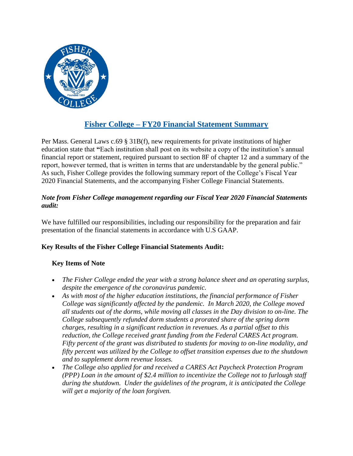

# **Fisher College – FY20 Financial Statement Summary**

Per Mass. General Laws c.69 § 31B(f), new requirements for private institutions of higher education state that **"**Each institution shall post on its website a copy of the institution's annual financial report or statement, required pursuant to section 8F of chapter 12 and a summary of the report, however termed, that is written in terms that are understandable by the general public." As such, Fisher College provides the following summary report of the College's Fiscal Year 2020 Financial Statements, and the accompanying Fisher College Financial Statements.

## *Note from Fisher College management regarding our Fiscal Year 2020 Financial Statements audit:*

We have fulfilled our responsibilities, including our responsibility for the preparation and fair presentation of the financial statements in accordance with U.S GAAP.

### **Key Results of the Fisher College Financial Statements Audit:**

### **Key Items of Note**

- *The Fisher College ended the year with a strong balance sheet and an operating surplus, despite the emergence of the coronavirus pandemic.*
- *As with most of the higher education institutions, the financial performance of Fisher College was significantly affected by the pandemic. In March 2020, the College moved all students out of the dorms, while moving all classes in the Day division to on-line. The College subsequently refunded dorm students a prorated share of the spring dorm charges, resulting in a significant reduction in revenues. As a partial offset to this reduction, the College received grant funding from the Federal CARES Act program. Fifty percent of the grant was distributed to students for moving to on-line modality, and fifty percent was utilized by the College to offset transition expenses due to the shutdown and to supplement dorm revenue losses.*
- *The College also applied for and received a CARES Act Paycheck Protection Program (PPP) Loan in the amount of \$2.4 million to incentivize the College not to furlough staff during the shutdown. Under the guidelines of the program, it is anticipated the College will get a majority of the loan forgiven.*